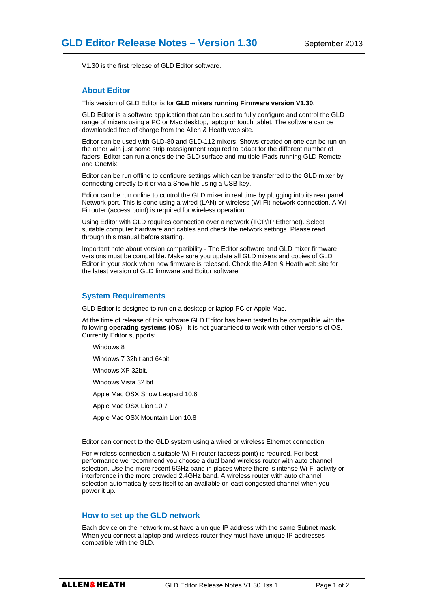V1.30 is the first release of GLD Editor software.

## **About Editor**

This version of GLD Editor is for **GLD mixers running Firmware version V1.30**.

GLD Editor is a software application that can be used to fully configure and control the GLD range of mixers using a PC or Mac desktop, laptop or touch tablet. The software can be downloaded free of charge from the Allen & Heath web site.

Editor can be used with GLD-80 and GLD-112 mixers. Shows created on one can be run on the other with just some strip reassignment required to adapt for the different number of faders. Editor can run alongside the GLD surface and multiple iPads running GLD Remote and OneMix.

Editor can be run offline to configure settings which can be transferred to the GLD mixer by connecting directly to it or via a Show file using a USB key.

Editor can be run online to control the GLD mixer in real time by plugging into its rear panel Network port. This is done using a wired (LAN) or wireless (Wi-Fi) network connection. A Wi-Fi router (access point) is required for wireless operation.

Using Editor with GLD requires connection over a network (TCP/IP Ethernet). Select suitable computer hardware and cables and check the network settings. Please read through this manual before starting.

Important note about version compatibility - The Editor software and GLD mixer firmware versions must be compatible. Make sure you update all GLD mixers and copies of GLD Editor in your stock when new firmware is released. Check the Allen & Heath web site for the latest version of GLD firmware and Editor software.

## **System Requirements**

GLD Editor is designed to run on a desktop or laptop PC or Apple Mac.

At the time of release of this software GLD Editor has been tested to be compatible with the following **operating systems (OS**). It is not guaranteed to work with other versions of OS. Currently Editor supports:

Windows 8

Windows 7 32bit and 64bit

Windows XP 32bit.

Windows Vista 32 bit.

Apple Mac OSX Snow Leopard 10.6

Apple Mac OSX Lion 10.7

Apple Mac OSX Mountain Lion 10.8

Editor can connect to the GLD system using a wired or wireless Ethernet connection.

For wireless connection a suitable Wi-Fi router (access point) is required. For best performance we recommend you choose a dual band wireless router with auto channel selection. Use the more recent 5GHz band in places where there is intense Wi-Fi activity or interference in the more crowded 2.4GHz band. A wireless router with auto channel selection automatically sets itself to an available or least congested channel when you power it up.

## **How to set up the GLD network**

Each device on the network must have a unique IP address with the same Subnet mask. When you connect a laptop and wireless router they must have unique IP addresses compatible with the GLD.